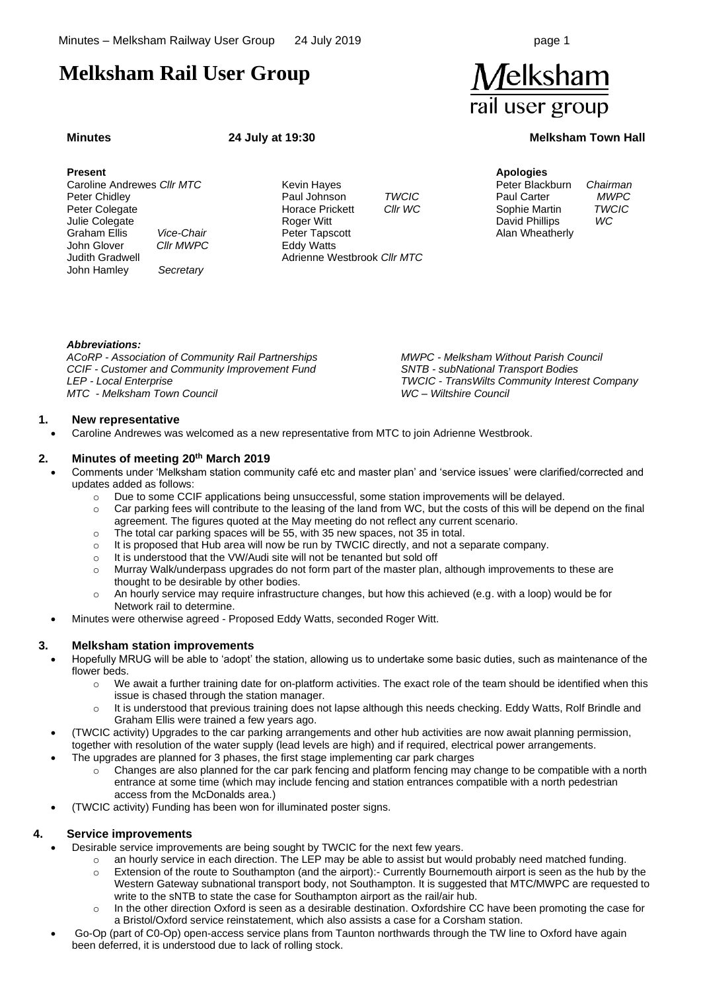# **Melksham Rail User Group**

**Present**  Caroline Andrewes *Cllr MTC* Peter Chidley Peter Colegate Julie Colegate Graham Ellis *Vice-Chair* John Glover *Cllr MWPC* Judith Gradwell John Hamley *Secretary*

### **Minutes 24 July at 19:30 Melksham Town Hall**

Kevin Hayes Paul Johnson *TWCIC* Horace Prickett *Cllr WC* Roger Witt Peter Tapscott Eddy Watts Adrienne Westbrook *Cllr MTC*

### **Apologies**

Peter Blackburn *Chairman*  Paul Carter *MWPC* **Sophie Martin** David Phillips *WC* Alan Wheatherly

#### *Abbreviations:*

*ACoRP - Association of Community Rail Partnerships CCIF - Customer and Community Improvement Fund LEP - Local Enterprise MTC - Melksham Town Council*

*MWPC - Melksham Without Parish Council SNTB - subNational Transport Bodies TWCIC - TransWilts Community Interest Company WC – Wiltshire Council*

#### **1. New representative**

• Caroline Andrewes was welcomed as a new representative from MTC to join Adrienne Westbrook.

#### **2. Minutes of meeting 20th March 2019**

- Comments under 'Melksham station community café etc and master plan' and 'service issues' were clarified/corrected and updates added as follows:
	- o Due to some CCIF applications being unsuccessful, some station improvements will be delayed.
	- $\circ$  Car parking fees will contribute to the leasing of the land from WC, but the costs of this will be depend on the final agreement. The figures quoted at the May meeting do not reflect any current scenario.
	- o The total car parking spaces will be 55, with 35 new spaces, not 35 in total.
	- o It is proposed that Hub area will now be run by TWCIC directly, and not a separate company.
	- o It is understood that the VW/Audi site will not be tenanted but sold off
	- o Murray Walk/underpass upgrades do not form part of the master plan, although improvements to these are thought to be desirable by other bodies.
	- An hourly service may require infrastructure changes, but how this achieved (e.g. with a loop) would be for Network rail to determine.
- Minutes were otherwise agreed Proposed Eddy Watts, seconded Roger Witt.

#### **3. Melksham station improvements**

- Hopefully MRUG will be able to 'adopt' the station, allowing us to undertake some basic duties, such as maintenance of the flower beds.
	- o We await a further training date for on-platform activities. The exact role of the team should be identified when this issue is chased through the station manager.
	- o It is understood that previous training does not lapse although this needs checking. Eddy Watts, Rolf Brindle and Graham Ellis were trained a few years ago.
- (TWCIC activity) Upgrades to the car parking arrangements and other hub activities are now await planning permission,
- together with resolution of the water supply (lead levels are high) and if required, electrical power arrangements.
- The upgrades are planned for 3 phases, the first stage implementing car park charges
	- $\circ$  Changes are also planned for the car park fencing and platform fencing may change to be compatible with a north entrance at some time (which may include fencing and station entrances compatible with a north pedestrian access from the McDonalds area.)
- (TWCIC activity) Funding has been won for illuminated poster signs.

#### **4. Service improvements**

- Desirable service improvements are being sought by TWCIC for the next few years.
	- o an hourly service in each direction. The LEP may be able to assist but would probably need matched funding.
	- o Extension of the route to Southampton (and the airport):- Currently Bournemouth airport is seen as the hub by the Western Gateway subnational transport body, not Southampton. It is suggested that MTC/MWPC are requested to write to the sNTB to state the case for Southampton airport as the rail/air hub.
	- o In the other direction Oxford is seen as a desirable destination. Oxfordshire CC have been promoting the case for a Bristol/Oxford service reinstatement, which also assists a case for a Corsham station.
- Go-Op (part of C0-Op) open-access service plans from Taunton northwards through the TW line to Oxford have again been deferred, it is understood due to lack of rolling stock.

 $M$ elksham

rail user group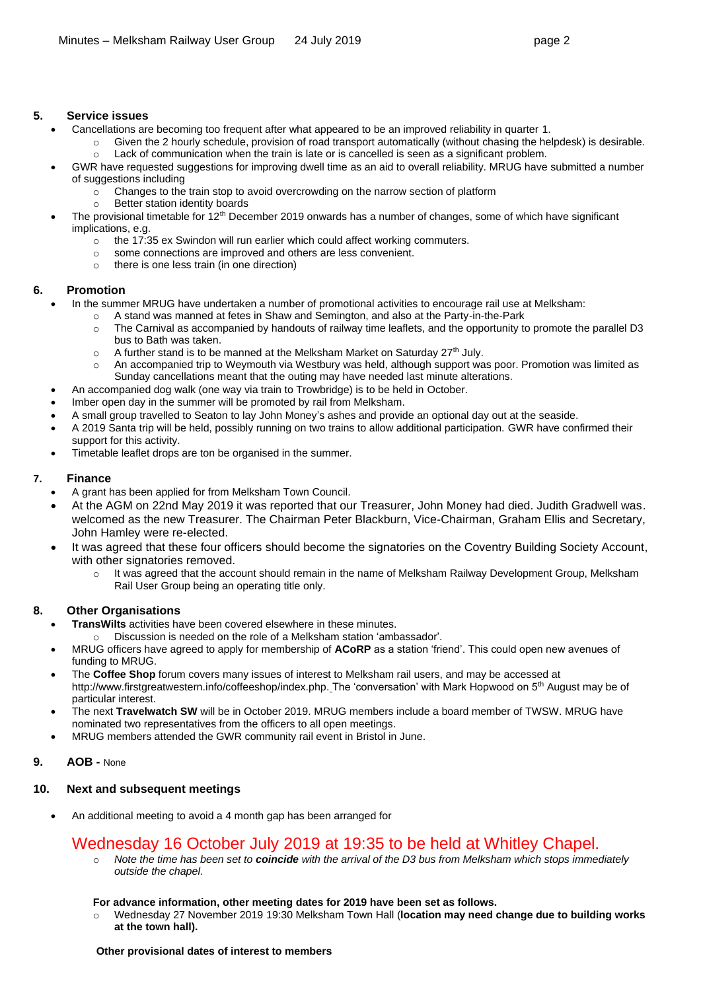#### **5. Service issues**

- Cancellations are becoming too frequent after what appeared to be an improved reliability in quarter 1.
	- $\circ$  Given the 2 hourly schedule, provision of road transport automatically (without chasing the helpdesk) is desirable. Lack of communication when the train is late or is cancelled is seen as a significant problem.
	- GWR have requested suggestions for improving dwell time as an aid to overall reliability. MRUG have submitted a number of suggestions including
		- $\circ$  Changes to the train stop to avoid overcrowding on the narrow section of platform
		- o Better station identity boards
- The provisional timetable for 12<sup>th</sup> December 2019 onwards has a number of changes, some of which have significant implications, e.g.
	- $\circ$  the 17:35 ex Swindon will run earlier which could affect working commuters.
	- o some connections are improved and others are less convenient.
	- o there is one less train (in one direction)

#### **6. Promotion**

- In the summer MRUG have undertaken a number of promotional activities to encourage rail use at Melksham:
	- $\circ$  A stand was manned at fetes in Shaw and Semington, and also at the Party- $\overline{\text{in}}$ -the-Park
	- o The Carnival as accompanied by handouts of railway time leaflets, and the opportunity to promote the parallel D3 bus to Bath was taken.
	- $\circ$  A further stand is to be manned at the Melksham Market on Saturday 27<sup>th</sup> July.
	- o An accompanied trip to Weymouth via Westbury was held, although support was poor. Promotion was limited as Sunday cancellations meant that the outing may have needed last minute alterations.
- An accompanied dog walk (one way via train to Trowbridge) is to be held in October.
- Imber open day in the summer will be promoted by rail from Melksham.
- A small group travelled to Seaton to lay John Money's ashes and provide an optional day out at the seaside.
- A 2019 Santa trip will be held, possibly running on two trains to allow additional participation. GWR have confirmed their support for this activity.
- Timetable leaflet drops are ton be organised in the summer.

#### **7. Finance**

- A grant has been applied for from Melksham Town Council.
- At the AGM on 22nd May 2019 it was reported that our Treasurer, John Money had died. Judith Gradwell was. welcomed as the new Treasurer. The Chairman Peter Blackburn, Vice-Chairman, Graham Ellis and Secretary, John Hamley were re-elected.
- It was agreed that these four officers should become the signatories on the Coventry Building Society Account, with other signatories removed.
	- o It was agreed that the account should remain in the name of Melksham Railway Development Group, Melksham Rail User Group being an operating title only.

#### **8. Other Organisations**

- **TransWilts** activities have been covered elsewhere in these minutes.
- Discussion is needed on the role of a Melksham station 'ambassador'.
- MRUG officers have agreed to apply for membership of **ACoRP** as a station 'friend'. This could open new avenues of funding to MRUG.
- The **Coffee Shop** forum covers many issues of interest to Melksham rail users, and may be accessed at [http://www.firstgreatwestern.info/coffeeshop/index.php.](http://www.firstgreatwestern.info/coffeeshop/index.php) The 'conversation' with Mark Hopwood on 5<sup>th</sup> August may be of particular interest.
- The next **Travelwatch SW** will be in October 2019. MRUG members include a board member of TWSW. MRUG have nominated two representatives from the officers to all open meetings.
- MRUG members attended the GWR community rail event in Bristol in June.

#### **9. AOB -** None

#### **10. Next and subsequent meetings**

• An additional meeting to avoid a 4 month gap has been arranged for

## Wednesday 16 October July 2019 at 19:35 to be held at Whitley Chapel.

o *Note the time has been set to coincide with the arrival of the D3 bus from Melksham which stops immediately outside the chapel.*

#### **For advance information, other meeting dates for 2019 have been set as follows.**

o Wednesday 27 November 2019 19:30 Melksham Town Hall (**location may need change due to building works at the town hall).**

#### **Other provisional dates of interest to members**